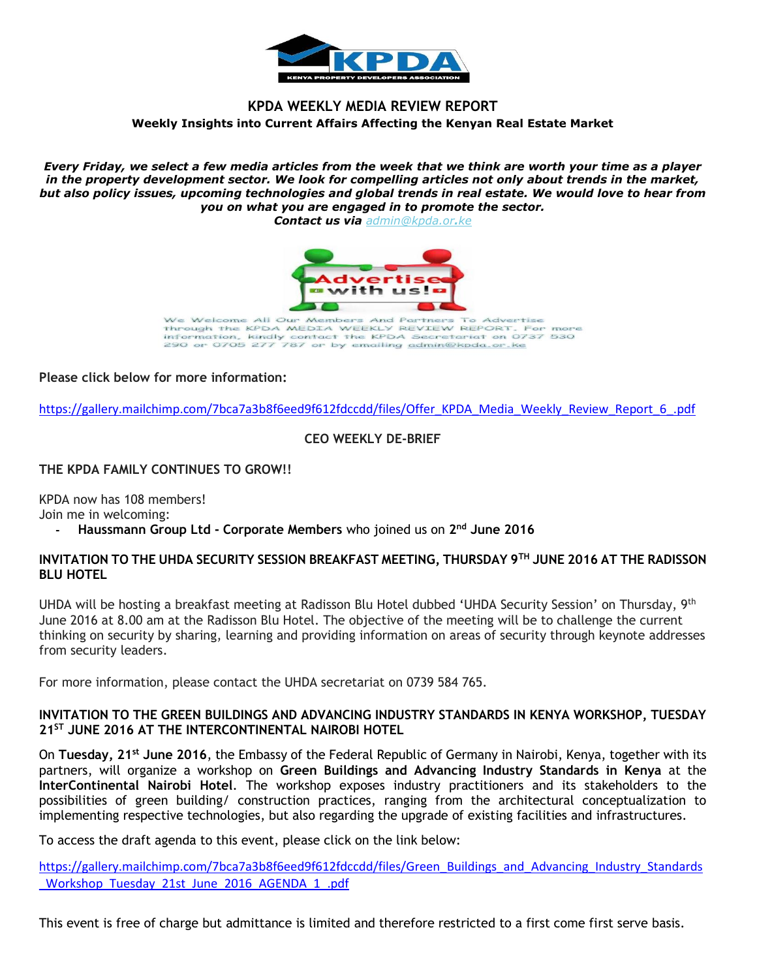

# **KPDA WEEKLY MEDIA REVIEW REPORT Weekly Insights into Current Affairs Affecting the Kenyan Real Estate Market**

*Every Friday, we select a few media articles from the week that we think are worth your time as a player in the property development sector. We look for compelling articles not only about trends in the market, but also policy issues, upcoming technologies and global trends in real estate. We would love to hear from you on what you are engaged in to promote the sector.*

*Contact us via [admin@kpda.or](mailto:admin@kpda.or.ke).ke*



All Our Members And Partners To Ne Welcome Advertise Through the KPDA MEDIA WEEKLY REVIEW REPORT. For more information, kindly contact the KPDA Secretariat on 0737 530<br>290 or 0705 277 787 or by emailing admin@kpda.or.ke

# **Please click below for more information:**

[https://gallery.mailchimp.com/7bca7a3b8f6eed9f612fdccdd/files/Offer\\_KPDA\\_Media\\_Weekly\\_Review\\_Report\\_6\\_.pdf](https://gallery.mailchimp.com/7bca7a3b8f6eed9f612fdccdd/files/Offer_KPDA_Media_Weekly_Review_Report_6_.pdf)

# **CEO WEEKLY DE-BRIEF**

# **THE KPDA FAMILY CONTINUES TO GROW!!**

KPDA now has 108 members!

Join me in welcoming:

**- Haussmann Group Ltd - Corporate Members** who joined us on **2 nd June 2016**

### **INVITATION TO THE UHDA SECURITY SESSION BREAKFAST MEETING, THURSDAY 9TH JUNE 2016 AT THE RADISSON BLU HOTEL**

UHDA will be hosting a breakfast meeting at Radisson Blu Hotel dubbed 'UHDA Security Session' on Thursday, 9th June 2016 at 8.00 am at the Radisson Blu Hotel. The objective of the meeting will be to challenge the current thinking on security by sharing, learning and providing information on areas of security through keynote addresses from security leaders.

For more information, please contact the UHDA secretariat on 0739 584 765.

### **INVITATION TO THE GREEN BUILDINGS AND ADVANCING INDUSTRY STANDARDS IN KENYA WORKSHOP, TUESDAY 21ST JUNE 2016 AT THE INTERCONTINENTAL NAIROBI HOTEL**

On **Tuesday, 21st June 2016**, the Embassy of the Federal Republic of Germany in Nairobi, Kenya, together with its partners, will organize a workshop on **Green Buildings and Advancing Industry Standards in Kenya** at the **InterContinental Nairobi Hotel**. The workshop exposes industry practitioners and its stakeholders to the possibilities of green building/ construction practices, ranging from the architectural conceptualization to implementing respective technologies, but also regarding the upgrade of existing facilities and infrastructures.

To access the draft agenda to this event, please click on the link below:

[https://gallery.mailchimp.com/7bca7a3b8f6eed9f612fdccdd/files/Green\\_Buildings\\_and\\_Advancing\\_Industry\\_Standards](https://gallery.mailchimp.com/7bca7a3b8f6eed9f612fdccdd/files/Green_Buildings_and_Advancing_Industry_Standards_Workshop_Tuesday_21st_June_2016_AGENDA_1_.pdf) [\\_Workshop\\_Tuesday\\_21st\\_June\\_2016\\_AGENDA\\_1\\_.pdf](https://gallery.mailchimp.com/7bca7a3b8f6eed9f612fdccdd/files/Green_Buildings_and_Advancing_Industry_Standards_Workshop_Tuesday_21st_June_2016_AGENDA_1_.pdf)

This event is free of charge but admittance is limited and therefore restricted to a first come first serve basis.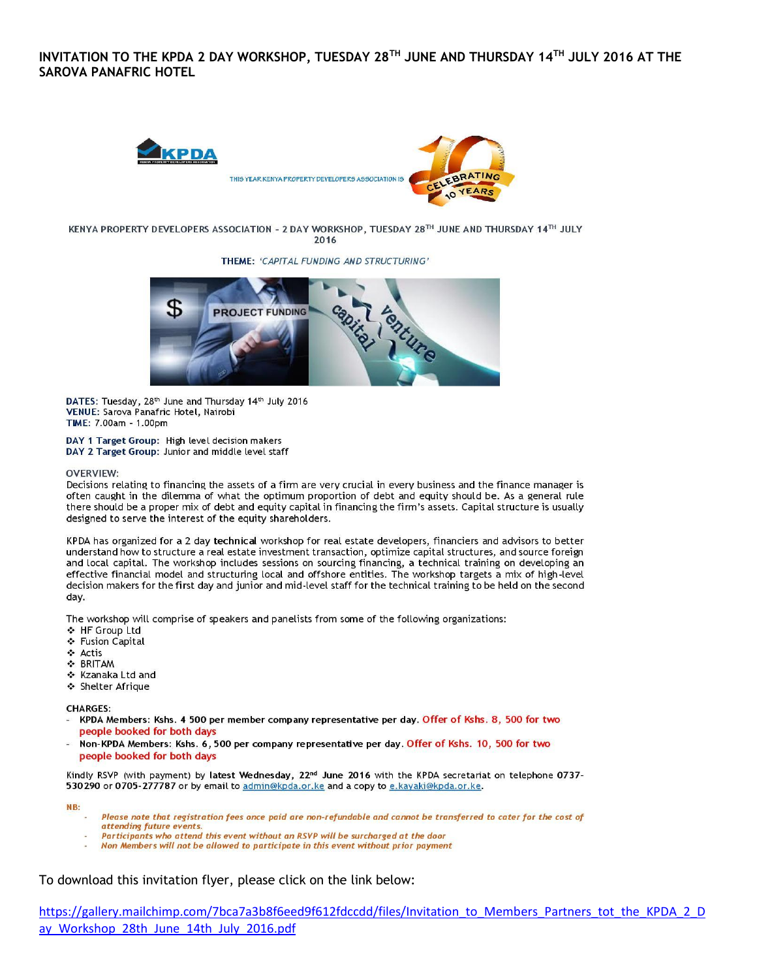### INVITATION TO THE KPDA 2 DAY WORKSHOP, TUESDAY 28TH JUNE AND THURSDAY 14TH JULY 2016 AT THE **SAROVA PANAFRIC HOTEL**



KENYA PROPERTY DEVELOPERS ASSOCIATION - 2 DAY WORKSHOP, TUESDAY 28TH JUNE AND THURSDAY 14TH JULY 2016

THEME: 'CAPITAL FUNDING AND STRUCTURING'



DATES: Tuesday, 28th June and Thursday 14th July 2016 VENUE: Sarova Panafric Hotel, Nairobi TIME: 7.00am - 1.00pm

DAY 1 Target Group: High level decision makers DAY 2 Target Group: Junior and middle level staff

#### **OVERVIEW:**

Decisions relating to financing the assets of a firm are very crucial in every business and the finance manager is often caught in the dilemma of what the optimum proportion of debt and equity should be. As a general rule there should be a proper mix of debt and equity capital in financing the firm's assets. Capital structure is usually designed to serve the interest of the equity shareholders.

KPDA has organized for a 2 day technical workshop for real estate developers, financiers and advisors to better understand how to structure a real estate investment transaction, optimize capital structures, and source foreign and local capital. The workshop includes sessions on sourcing financing, a technical training on developing an effective financial model and structuring local and offshore entities. The workshop targets a mix of high-level decision makers for the first day and junior and mid-level staff for the technical training to be held on the second dav.

The workshop will comprise of speakers and panelists from some of the following organizations:

- ❖ HF Group Ltd
- ❖ Fusion Capital
- ❖ Actis
- **S** BRITAM
- ❖ Kzanaka Ltd and
- ❖ Shelter Afrique

**CHARGES:** 

- KPDA Members: Kshs. 4 500 per member company representative per day. Offer of Kshs. 8, 500 for two people booked for both days
- Non-KPDA Members: Kshs. 6, 500 per company representative per day. Offer of Kshs. 10, 500 for two people booked for both days

Kindly RSVP (with payment) by latest Wednesday, 22<sup>nd</sup> June 2016 with the KPDA secretariat on telephone 0737-530 290 or 0705-277787 or by email to admin@kpda.or.ke and a copy to e.kayaki@kpda.or.ke.

NB:

- Please note that registration fees once paid are non-refundable and cannot be transferred to cater for the cost of attending future events.
- Participants who attend this event without an RSVP will be surcharged at the door
- Non Members will not be allowed to participate in this event without prior payment

To download this invitation flyer, please click on the link below: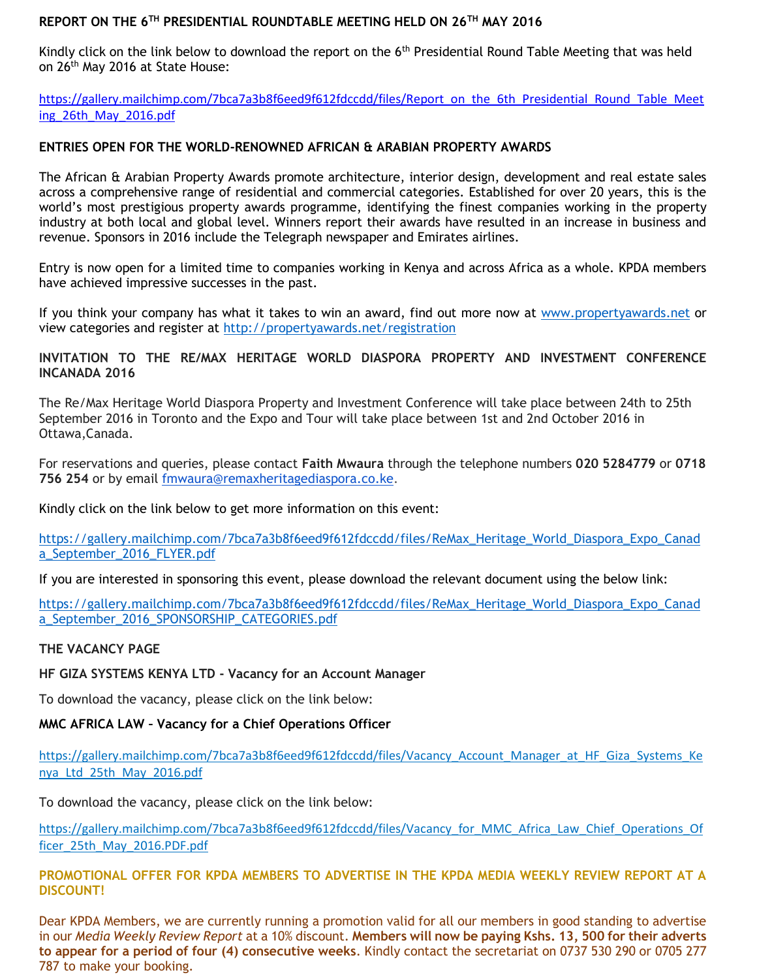# **REPORT ON THE 6TH PRESIDENTIAL ROUNDTABLE MEETING HELD ON 26TH MAY 2016**

Kindly click on the link below to download the report on the 6<sup>th</sup> Presidential Round Table Meeting that was held on 26<sup>th</sup> May 2016 at State House:

[https://gallery.mailchimp.com/7bca7a3b8f6eed9f612fdccdd/files/Report\\_on\\_the\\_6th\\_Presidential\\_Round\\_Table\\_Meet](https://gallery.mailchimp.com/7bca7a3b8f6eed9f612fdccdd/files/Report_on_the_6th_Presidential_Round_Table_Meeting_26th_May_2016.pdf) [ing\\_26th\\_May\\_2016.pdf](https://gallery.mailchimp.com/7bca7a3b8f6eed9f612fdccdd/files/Report_on_the_6th_Presidential_Round_Table_Meeting_26th_May_2016.pdf)

## **ENTRIES OPEN FOR THE WORLD-RENOWNED AFRICAN & ARABIAN PROPERTY AWARDS**

The African & Arabian Property Awards promote architecture, interior design, development and real estate sales across a comprehensive range of residential and commercial categories. Established for over 20 years, this is the world's most prestigious property awards programme, identifying the finest companies working in the property industry at both local and global level. Winners report their awards have resulted in an increase in business and revenue. Sponsors in 2016 include the Telegraph newspaper and Emirates airlines.

Entry is now open for a limited time to companies working in Kenya and across Africa as a whole. KPDA members have achieved impressive successes in the past.

If you think your company has what it takes to win an award, find out more now at [www.propertyawards.net](http://www.propertyawards.net/) or view categories and register at<http://propertyawards.net/registration>

# **INVITATION TO THE RE/MAX HERITAGE WORLD DIASPORA PROPERTY AND INVESTMENT CONFERENCE INCANADA 2016**

The Re/Max Heritage World Diaspora Property and Investment Conference will take place between 24th to 25th September 2016 in Toronto and the Expo and Tour will take place between 1st and 2nd October 2016 in Ottawa,Canada.

For reservations and queries, please contact **Faith Mwaura** through the telephone numbers **020 5284779** or **0718 756 254** or by email [fmwaura@remaxheritagediaspora.co.ke.](mailto:fmwaura@remaxheritagediaspora.co.ke)

Kindly click on the link below to get more information on this event:

[https://gallery.mailchimp.com/7bca7a3b8f6eed9f612fdccdd/files/ReMax\\_Heritage\\_World\\_Diaspora\\_Expo\\_Canad](https://gallery.mailchimp.com/7bca7a3b8f6eed9f612fdccdd/files/ReMax_Heritage_World_Diaspora_Expo_Canada_September_2016_FLYER.pdf) [a\\_September\\_2016\\_FLYER.pdf](https://gallery.mailchimp.com/7bca7a3b8f6eed9f612fdccdd/files/ReMax_Heritage_World_Diaspora_Expo_Canada_September_2016_FLYER.pdf)

If you are interested in sponsoring this event, please download the relevant document using the below link:

[https://gallery.mailchimp.com/7bca7a3b8f6eed9f612fdccdd/files/ReMax\\_Heritage\\_World\\_Diaspora\\_Expo\\_Canad](https://gallery.mailchimp.com/7bca7a3b8f6eed9f612fdccdd/files/ReMax_Heritage_World_Diaspora_Expo_Canada_September_2016_SPONSORSHIP_CATEGORIES.pdf) [a\\_September\\_2016\\_SPONSORSHIP\\_CATEGORIES.pdf](https://gallery.mailchimp.com/7bca7a3b8f6eed9f612fdccdd/files/ReMax_Heritage_World_Diaspora_Expo_Canada_September_2016_SPONSORSHIP_CATEGORIES.pdf)

### **THE VACANCY PAGE**

**HF GIZA SYSTEMS KENYA LTD - Vacancy for an Account Manager**

To download the vacancy, please click on the link below:

**MMC AFRICA LAW – Vacancy for a Chief Operations Officer**

https://gallery.mailchimp.com/7bca7a3b8f6eed9f612fdccdd/files/Vacancy Account Manager at HF Giza Systems Ke [nya\\_Ltd\\_25th\\_May\\_2016.pdf](https://gallery.mailchimp.com/7bca7a3b8f6eed9f612fdccdd/files/Vacancy_Account_Manager_at_HF_Giza_Systems_Kenya_Ltd_25th_May_2016.pdf)

To download the vacancy, please click on the link below:

[https://gallery.mailchimp.com/7bca7a3b8f6eed9f612fdccdd/files/Vacancy\\_for\\_MMC\\_Africa\\_Law\\_Chief\\_Operations\\_Of](https://gallery.mailchimp.com/7bca7a3b8f6eed9f612fdccdd/files/Vacancy_for_MMC_Africa_Law_Chief_Operations_Officer_25th_May_2016.PDF.pdf) [ficer\\_25th\\_May\\_2016.PDF.pdf](https://gallery.mailchimp.com/7bca7a3b8f6eed9f612fdccdd/files/Vacancy_for_MMC_Africa_Law_Chief_Operations_Officer_25th_May_2016.PDF.pdf)

**PROMOTIONAL OFFER FOR KPDA MEMBERS TO ADVERTISE IN THE KPDA MEDIA WEEKLY REVIEW REPORT AT A DISCOUNT!**

Dear KPDA Members, we are currently running a promotion valid for all our members in good standing to advertise in our *Media Weekly Review Report* at a 10% discount. **Members will now be paying Kshs. 13, 500 for their adverts to appear for a period of four (4) consecutive weeks**. Kindly contact the secretariat on 0737 530 290 or 0705 277 787 to make your booking.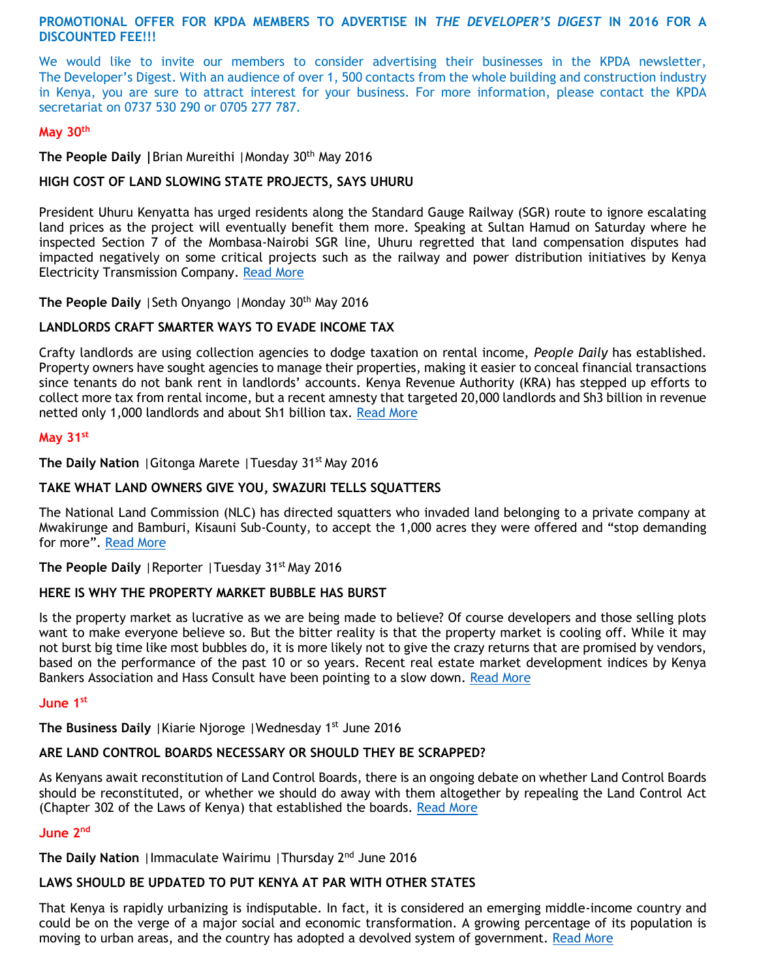**PROMOTIONAL OFFER FOR KPDA MEMBERS TO ADVERTISE IN** *THE DEVELOPER'S DIGEST* **IN 2016 FOR A DISCOUNTED FEE!!!**

We would like to invite our members to consider advertising their businesses in the KPDA newsletter, The Developer's Digest. With an audience of over 1, 500 contacts from the whole building and construction industry in Kenya, you are sure to attract interest for your business. For more information, please contact the KPDA secretariat on 0737 530 290 or 0705 277 787.

#### **May 30th**

**The People Daily |**Brian Mureithi |Monday 30th May 2016

#### **HIGH COST OF LAND SLOWING STATE PROJECTS, SAYS UHURU**

President Uhuru Kenyatta has urged residents along the Standard Gauge Railway (SGR) route to ignore escalating land prices as the project will eventually benefit them more. Speaking at Sultan Hamud on Saturday where he inspected Section 7 of the Mombasa-Nairobi SGR line, Uhuru regretted that land compensation disputes had impacted negatively on some critical projects such as the railway and power distribution initiatives by Kenya Electricity Transmission Company. [Read More](http://www.mediamaxnetwork.co.ke/business/224007/high-cost-of-land-slowing-state-projects-says-uhuru/)

**The People Daily** | Seth Onyango | Monday 30<sup>th</sup> May 2016

#### **LANDLORDS CRAFT SMARTER WAYS TO EVADE INCOME TAX**

Crafty landlords are using collection agencies to dodge taxation on rental income, *People Daily* has established. Property owners have sought agencies to manage their properties, making it easier to conceal financial transactions since tenants do not bank rent in landlords' accounts. Kenya Revenue Authority (KRA) has stepped up efforts to collect more tax from rental income, but a recent amnesty that targeted 20,000 landlords and Sh3 billion in revenue netted only 1,000 landlords and about Sh1 billion tax. [Read More](http://www.mediamaxnetwork.co.ke/business/224000/landlords-craft-smarter-ways-to-evade-income-tax/)

#### **May 31st**

**The Daily Nation** | Gitonga Marete | Tuesday 31<sup>st</sup> May 2016

### **TAKE WHAT LAND OWNERS GIVE YOU, SWAZURI TELLS SQUATTERS**

The National Land Commission (NLC) has directed squatters who invaded land belonging to a private company at Mwakirunge and Bamburi, Kisauni Sub-County, to accept the 1,000 acres they were offered and "stop demanding for more". [Read More](http://www.nation.co.ke/counties/mombasa/-Take-what-land-owners-give-you-Swazuri-tells-squatters/-/1954178/3225738/-/12xti3m/-/index.html)

**The People Daily** | Reporter | Tuesday 31<sup>st</sup> May 2016

### **HERE IS WHY THE PROPERTY MARKET BUBBLE HAS BURST**

Is the property market as lucrative as we are being made to believe? Of course developers and those selling plots want to make everyone believe so. But the bitter reality is that the property market is cooling off. While it may not burst big time like most bubbles do, it is more likely not to give the crazy returns that are promised by vendors, based on the performance of the past 10 or so years. Recent real estate market development indices by Kenya Bankers Association and Hass Consult have been pointing to a slow down. [Read More](http://www.mediamaxnetwork.co.ke/business/224348/here-is-why-the-property-market-bubble-has-burst/)

#### **June 1st**

**The Business Daily** | Kiarie Njoroge | Wednesday 1<sup>st</sup> June 2016

#### **ARE LAND CONTROL BOARDS NECESSARY OR SHOULD THEY BE SCRAPPED?**

As Kenyans await reconstitution of Land Control Boards, there is an ongoing debate on whether Land Control Boards should be reconstituted, or whether we should do away with them altogether by repealing the Land Control Act (Chapter 302 of the Laws of Kenya) that established the boards. [Read More](http://www.businessdailyafrica.com/Opinion-and-Analysis/Are-land-control-boards-necessary-or-should-they-be-scrapped-/-/539548/3227952/-/15uevqu/-/index.html)

#### **June 2nd**

**The Daily Nation** |Immaculate Wairimu |Thursday 2nd June 2016

# **LAWS SHOULD BE UPDATED TO PUT KENYA AT PAR WITH OTHER STATES**

That Kenya is rapidly urbanizing is indisputable. In fact, it is considered an emerging middle-income country and could be on the verge of a major social and economic transformation. A growing percentage of its population is moving to urban areas, and the country has adopted a devolved system of government. [Read More](http://www.nation.co.ke/lifestyle/DN2/Old-laws-the-bane-of-building-industry/-/957860/3228458/-/jqryv6z/-/index.html)